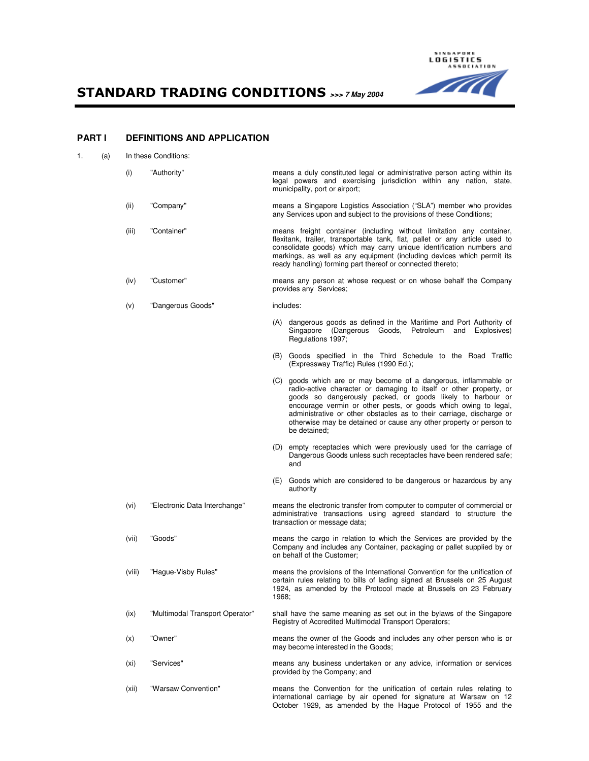STANDARD TRADING CONDITIONS **>>> 7 May 2004** 



# **PART I DEFINITIONS AND APPLICATION**

| (a) | In these Conditions: |
|-----|----------------------|
|     |                      |

 (i) "Authority" means a duly constituted legal or administrative person acting within its legal powers and exercising jurisdiction within any nation, state, municipality, port or airport; (ii) "Company" means a Singapore Logistics Association ("SLA") member who provides any Services upon and subject to the provisions of these Conditions; (iii) "Container" means freight container (including without limitation any container, flexitank, trailer, transportable tank, flat, pallet or any article used to consolidate goods) which may carry unique identification numbers and markings, as well as any equipment (including devices which permit its ready handling) forming part thereof or connected thereto; (iv) "Customer" means any person at whose request or on whose behalf the Company provides any Services; (v) "Dangerous Goods" includes: (A) dangerous goods as defined in the Maritime and Port Authority of Singapore (Dangerous Goods, Petroleum and Explosives) Regulations 1997; (B) Goods specified in the Third Schedule to the Road Traffic (Expressway Traffic) Rules (1990 Ed.); (C) goods which are or may become of a dangerous, inflammable or radio-active character or damaging to itself or other property, or goods so dangerously packed, or goods likely to harbour or encourage vermin or other pests, or goods which owing to legal, administrative or other obstacles as to their carriage, discharge or otherwise may be detained or cause any other property or person to be detained; (D) empty receptacles which were previously used for the carriage of Dangerous Goods unless such receptacles have been rendered safe; and (E) Goods which are considered to be dangerous or hazardous by any authority (vi) "Electronic Data Interchange" means the electronic transfer from computer to computer of commercial or administrative transactions using agreed standard to structure the transaction or message data; (vii) "Goods" means the cargo in relation to which the Services are provided by the Company and includes any Container, packaging or pallet supplied by or on behalf of the Customer; (viii) "Hague-Visby Rules" means the provisions of the International Convention for the unification of certain rules relating to bills of lading signed at Brussels on 25 August 1924, as amended by the Protocol made at Brussels on 23 February 1968; (ix) "Multimodal Transport Operator" shall have the same meaning as set out in the bylaws of the Singapore Registry of Accredited Multimodal Transport Operators; (x) "Owner" means the owner of the Goods and includes any other person who is or may become interested in the Goods; (xi) "Services" means any business undertaken or any advice, information or services provided by the Company; and (xii) "Warsaw Convention" means the Convention for the unification of certain rules relating to international carriage by air opened for signature at Warsaw on 12

October 1929, as amended by the Hague Protocol of 1955 and the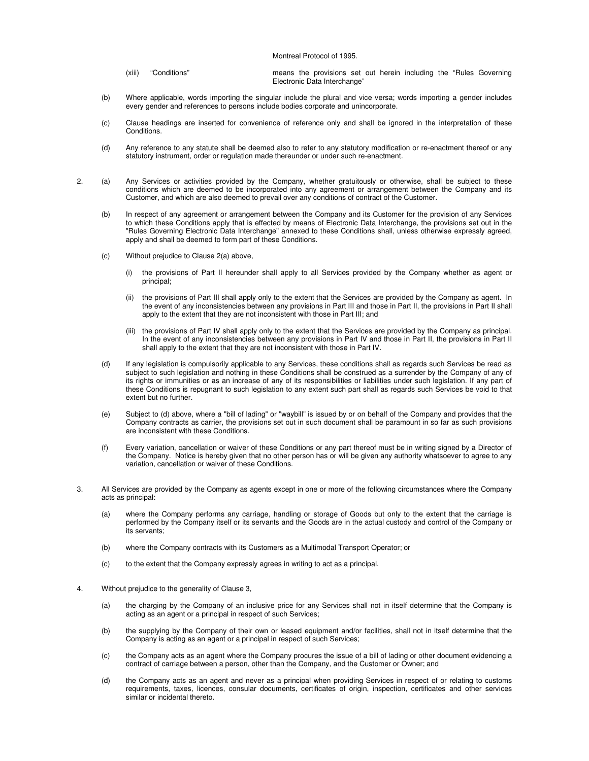Montreal Protocol of 1995.

| (xiii) | "Conditions" |  |                              |  |  |  | means the provisions set out herein including the "Rules Governing" |
|--------|--------------|--|------------------------------|--|--|--|---------------------------------------------------------------------|
|        |              |  | Electronic Data Interchange" |  |  |  |                                                                     |

- (b) Where applicable, words importing the singular include the plural and vice versa; words importing a gender includes every gender and references to persons include bodies corporate and unincorporate.
- (c) Clause headings are inserted for convenience of reference only and shall be ignored in the interpretation of these Conditions.
- (d) Any reference to any statute shall be deemed also to refer to any statutory modification or re-enactment thereof or any statutory instrument, order or regulation made thereunder or under such re-enactment.
- 2. (a) Any Services or activities provided by the Company, whether gratuitously or otherwise, shall be subject to these conditions which are deemed to be incorporated into any agreement or arrangement between the Company and its Customer, and which are also deemed to prevail over any conditions of contract of the Customer.
	- (b) In respect of any agreement or arrangement between the Company and its Customer for the provision of any Services to which these Conditions apply that is effected by means of Electronic Data Interchange, the provisions set out in the "Rules Governing Electronic Data Interchange" annexed to these Conditions shall, unless otherwise expressly agreed, apply and shall be deemed to form part of these Conditions.
	- (c) Without prejudice to Clause 2(a) above,
		- (i) the provisions of Part II hereunder shall apply to all Services provided by the Company whether as agent or principal;
		- (ii) the provisions of Part III shall apply only to the extent that the Services are provided by the Company as agent. In the event of any inconsistencies between any provisions in Part III and those in Part II, the provisions in Part II shall apply to the extent that they are not inconsistent with those in Part III; and
		- (iii) the provisions of Part IV shall apply only to the extent that the Services are provided by the Company as principal. In the event of any inconsistencies between any provisions in Part IV and those in Part II, the provisions in Part II shall apply to the extent that they are not inconsistent with those in Part IV.
	- (d) If any legislation is compulsorily applicable to any Services, these conditions shall as regards such Services be read as subject to such legislation and nothing in these Conditions shall be construed as a surrender by the Company of any of its rights or immunities or as an increase of any of its responsibilities or liabilities under such legislation. If any part of these Conditions is repugnant to such legislation to any extent such part shall as regards such Services be void to that extent but no further.
	- (e) Subject to (d) above, where a "bill of lading" or "waybill" is issued by or on behalf of the Company and provides that the Company contracts as carrier, the provisions set out in such document shall be paramount in so far as such provisions are inconsistent with these Conditions.
	- (f) Every variation, cancellation or waiver of these Conditions or any part thereof must be in writing signed by a Director of the Company. Notice is hereby given that no other person has or will be given any authority whatsoever to agree to any variation, cancellation or waiver of these Conditions.
- 3. All Services are provided by the Company as agents except in one or more of the following circumstances where the Company acts as principal:
	- (a) where the Company performs any carriage, handling or storage of Goods but only to the extent that the carriage is performed by the Company itself or its servants and the Goods are in the actual custody and control of the Company or its servants;
	- (b) where the Company contracts with its Customers as a Multimodal Transport Operator; or
	- (c) to the extent that the Company expressly agrees in writing to act as a principal.
- 4. Without prejudice to the generality of Clause 3,
	- (a) the charging by the Company of an inclusive price for any Services shall not in itself determine that the Company is acting as an agent or a principal in respect of such Services;
	- (b) the supplying by the Company of their own or leased equipment and/or facilities, shall not in itself determine that the Company is acting as an agent or a principal in respect of such Services;
	- (c) the Company acts as an agent where the Company procures the issue of a bill of lading or other document evidencing a contract of carriage between a person, other than the Company, and the Customer or Owner; and
	- (d) the Company acts as an agent and never as a principal when providing Services in respect of or relating to customs requirements, taxes, licences, consular documents, certificates of origin, inspection, certificates and other services similar or incidental thereto.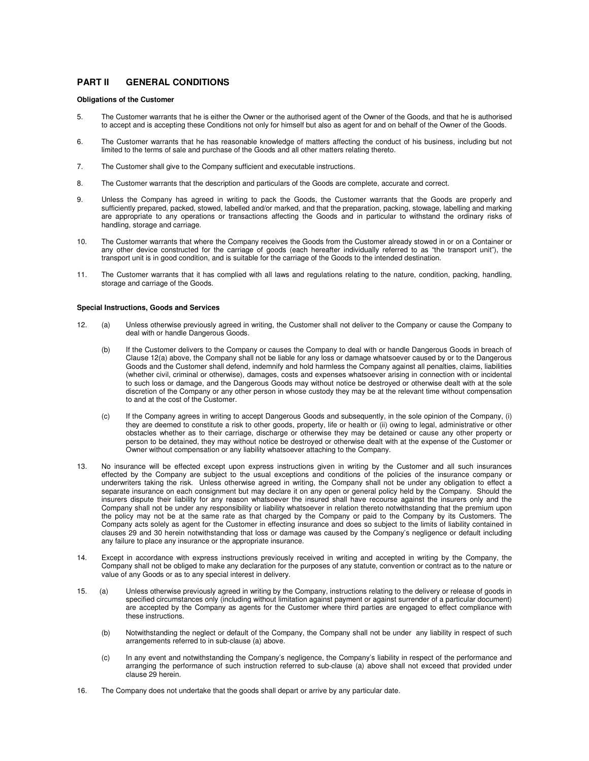# **PART II GENERAL CONDITIONS**

### **Obligations of the Customer**

- 5. The Customer warrants that he is either the Owner or the authorised agent of the Owner of the Goods, and that he is authorised to accept and is accepting these Conditions not only for himself but also as agent for and on behalf of the Owner of the Goods.
- 6. The Customer warrants that he has reasonable knowledge of matters affecting the conduct of his business, including but not limited to the terms of sale and purchase of the Goods and all other matters relating thereto.
- 7. The Customer shall give to the Company sufficient and executable instructions.
- 8. The Customer warrants that the description and particulars of the Goods are complete, accurate and correct.
- 9. Unless the Company has agreed in writing to pack the Goods, the Customer warrants that the Goods are properly and sufficiently prepared, packed, stowed, labelled and/or marked, and that the preparation, packing, stowage, labelling and marking are appropriate to any operations or transactions affecting the Goods and in particular to withstand the ordinary risks of handling, storage and carriage.
- 10. The Customer warrants that where the Company receives the Goods from the Customer already stowed in or on a Container or any other device constructed for the carriage of goods (each hereafter individually referred to as "the transport unit"), the transport unit is in good condition, and is suitable for the carriage of the Goods to the intended destination.
- 11. The Customer warrants that it has complied with all laws and regulations relating to the nature, condition, packing, handling, storage and carriage of the Goods.

### **Special Instructions, Goods and Services**

- 12. (a) Unless otherwise previously agreed in writing, the Customer shall not deliver to the Company or cause the Company to deal with or handle Dangerous Goods.
	- (b) If the Customer delivers to the Company or causes the Company to deal with or handle Dangerous Goods in breach of Clause 12(a) above, the Company shall not be liable for any loss or damage whatsoever caused by or to the Dangerous Goods and the Customer shall defend, indemnify and hold harmless the Company against all penalties, claims, liabilities (whether civil, criminal or otherwise), damages, costs and expenses whatsoever arising in connection with or incidental to such loss or damage, and the Dangerous Goods may without notice be destroyed or otherwise dealt with at the sole discretion of the Company or any other person in whose custody they may be at the relevant time without compensation to and at the cost of the Customer.
	- (c) If the Company agrees in writing to accept Dangerous Goods and subsequently, in the sole opinion of the Company, (i) they are deemed to constitute a risk to other goods, property, life or health or (ii) owing to legal, administrative or other obstacles whether as to their carriage, discharge or otherwise they may be detained or cause any other property or person to be detained, they may without notice be destroyed or otherwise dealt with at the expense of the Customer or Owner without compensation or any liability whatsoever attaching to the Company.
- 13. No insurance will be effected except upon express instructions given in writing by the Customer and all such insurances effected by the Company are subject to the usual exceptions and conditions of the policies of the insurance company or underwriters taking the risk. Unless otherwise agreed in writing, the Company shall not be under any obligation to effect a separate insurance on each consignment but may declare it on any open or general policy held by the Company. Should the insurers dispute their liability for any reason whatsoever the insured shall have recourse against the insurers only and the Company shall not be under any responsibility or liability whatsoever in relation thereto notwithstanding that the premium upon the policy may not be at the same rate as that charged by the Company or paid to the Company by its Customers. The Company acts solely as agent for the Customer in effecting insurance and does so subject to the limits of liability contained in clauses 29 and 30 herein notwithstanding that loss or damage was caused by the Company's negligence or default including any failure to place any insurance or the appropriate insurance.
- 14. Except in accordance with express instructions previously received in writing and accepted in writing by the Company, the Company shall not be obliged to make any declaration for the purposes of any statute, convention or contract as to the nature or value of any Goods or as to any special interest in delivery.
- 15. (a) Unless otherwise previously agreed in writing by the Company, instructions relating to the delivery or release of goods in specified circumstances only (including without limitation against payment or against surrender of a particular document) are accepted by the Company as agents for the Customer where third parties are engaged to effect compliance with these instructions.
	- (b) Notwithstanding the neglect or default of the Company, the Company shall not be under any liability in respect of such arrangements referred to in sub-clause (a) above.
	- (c) In any event and notwithstanding the Company's negligence, the Company's liability in respect of the performance and arranging the performance of such instruction referred to sub-clause (a) above shall not exceed that provided under clause 29 herein.
- 16. The Company does not undertake that the goods shall depart or arrive by any particular date.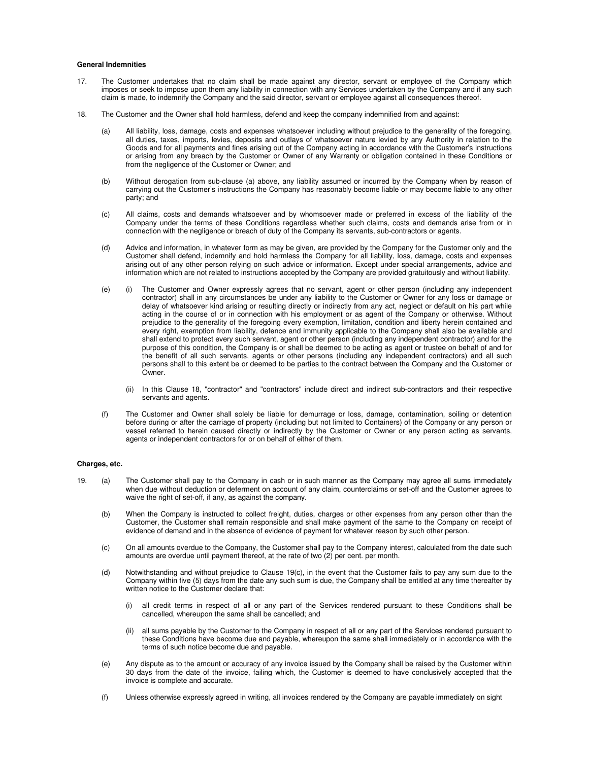#### **General Indemnities**

- 17. The Customer undertakes that no claim shall be made against any director, servant or employee of the Company which imposes or seek to impose upon them any liability in connection with any Services undertaken by the Company and if any such claim is made, to indemnify the Company and the said director, servant or employee against all consequences thereof.
- 18. The Customer and the Owner shall hold harmless, defend and keep the company indemnified from and against:
	- (a) All liability, loss, damage, costs and expenses whatsoever including without prejudice to the generality of the foregoing, all duties, taxes, imports, levies, deposits and outlays of whatsoever nature levied by any Authority in relation to the Goods and for all payments and fines arising out of the Company acting in accordance with the Customer's instructions or arising from any breach by the Customer or Owner of any Warranty or obligation contained in these Conditions or from the negligence of the Customer or Owner; and
	- (b) Without derogation from sub-clause (a) above, any liability assumed or incurred by the Company when by reason of carrying out the Customer's instructions the Company has reasonably become liable or may become liable to any other party; and
	- (c) All claims, costs and demands whatsoever and by whomsoever made or preferred in excess of the liability of the Company under the terms of these Conditions regardless whether such claims, costs and demands arise from or in connection with the negligence or breach of duty of the Company its servants, sub-contractors or agents.
	- (d) Advice and information, in whatever form as may be given, are provided by the Company for the Customer only and the Customer shall defend, indemnify and hold harmless the Company for all liability, loss, damage, costs and expenses arising out of any other person relying on such advice or information. Except under special arrangements, advice and information which are not related to instructions accepted by the Company are provided gratuitously and without liability.
	- (e) (i) The Customer and Owner expressly agrees that no servant, agent or other person (including any independent contractor) shall in any circumstances be under any liability to the Customer or Owner for any loss or damage or delay of whatsoever kind arising or resulting directly or indirectly from any act, neglect or default on his part while acting in the course of or in connection with his employment or as agent of the Company or otherwise. Without prejudice to the generality of the foregoing every exemption, limitation, condition and liberty herein contained and every right, exemption from liability, defence and immunity applicable to the Company shall also be available and shall extend to protect every such servant, agent or other person (including any independent contractor) and for the purpose of this condition, the Company is or shall be deemed to be acting as agent or trustee on behalf of and for the benefit of all such servants, agents or other persons (including any independent contractors) and all such persons shall to this extent be or deemed to be parties to the contract between the Company and the Customer or Owner.
		- (ii) In this Clause 18, "contractor" and "contractors" include direct and indirect sub-contractors and their respective servants and agents.
	- (f) The Customer and Owner shall solely be liable for demurrage or loss, damage, contamination, soiling or detention before during or after the carriage of property (including but not limited to Containers) of the Company or any person or vessel referred to herein caused directly or indirectly by the Customer or Owner or any person acting as servants, agents or independent contractors for or on behalf of either of them.

### **Charges, etc.**

- 19. (a) The Customer shall pay to the Company in cash or in such manner as the Company may agree all sums immediately when due without deduction or deferment on account of any claim, counterclaims or set-off and the Customer agrees to waive the right of set-off, if any, as against the company.
	- (b) When the Company is instructed to collect freight, duties, charges or other expenses from any person other than the Customer, the Customer shall remain responsible and shall make payment of the same to the Company on receipt of evidence of demand and in the absence of evidence of payment for whatever reason by such other person.
	- (c) On all amounts overdue to the Company, the Customer shall pay to the Company interest, calculated from the date such amounts are overdue until payment thereof, at the rate of two (2) per cent. per month.
	- (d) Notwithstanding and without prejudice to Clause 19(c), in the event that the Customer fails to pay any sum due to the Company within five (5) days from the date any such sum is due, the Company shall be entitled at any time thereafter by written notice to the Customer declare that:
		- all credit terms in respect of all or any part of the Services rendered pursuant to these Conditions shall be cancelled, whereupon the same shall be cancelled; and
		- all sums payable by the Customer to the Company in respect of all or any part of the Services rendered pursuant to these Conditions have become due and payable, whereupon the same shall immediately or in accordance with the terms of such notice become due and payable.
	- (e) Any dispute as to the amount or accuracy of any invoice issued by the Company shall be raised by the Customer within 30 days from the date of the invoice, failing which, the Customer is deemed to have conclusively accepted that the invoice is complete and accurate.
	- (f) Unless otherwise expressly agreed in writing, all invoices rendered by the Company are payable immediately on sight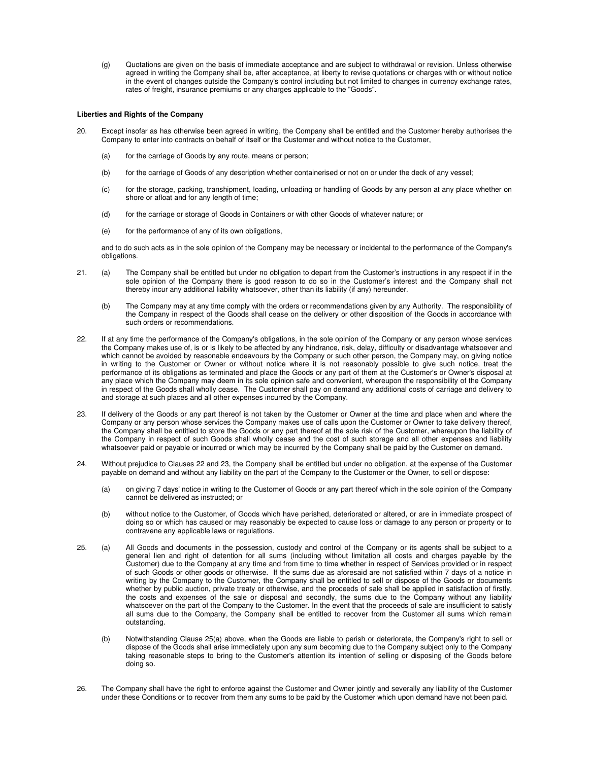(g) Quotations are given on the basis of immediate acceptance and are subject to withdrawal or revision. Unless otherwise agreed in writing the Company shall be, after acceptance, at liberty to revise quotations or charges with or without notice in the event of changes outside the Company's control including but not limited to changes in currency exchange rates, rates of freight, insurance premiums or any charges applicable to the "Goods".

### **Liberties and Rights of the Company**

- 20. Except insofar as has otherwise been agreed in writing, the Company shall be entitled and the Customer hereby authorises the Company to enter into contracts on behalf of itself or the Customer and without notice to the Customer,
	- (a) for the carriage of Goods by any route, means or person;
	- (b) for the carriage of Goods of any description whether containerised or not on or under the deck of any vessel;
	- (c) for the storage, packing, transhipment, loading, unloading or handling of Goods by any person at any place whether on shore or afloat and for any length of time;
	- (d) for the carriage or storage of Goods in Containers or with other Goods of whatever nature; or
	- (e) for the performance of any of its own obligations,

 and to do such acts as in the sole opinion of the Company may be necessary or incidental to the performance of the Company's obligations.

- 21. (a) The Company shall be entitled but under no obligation to depart from the Customer's instructions in any respect if in the sole opinion of the Company there is good reason to do so in the Customer's interest and the Company shall not thereby incur any additional liability whatsoever, other than its liability (if any) hereunder.
	- (b) The Company may at any time comply with the orders or recommendations given by any Authority. The responsibility of the Company in respect of the Goods shall cease on the delivery or other disposition of the Goods in accordance with such orders or recommendations.
- 22. If at any time the performance of the Company's obligations, in the sole opinion of the Company or any person whose services the Company makes use of, is or is likely to be affected by any hindrance, risk, delay, difficulty or disadvantage whatsoever and which cannot be avoided by reasonable endeavours by the Company or such other person, the Company may, on giving notice in writing to the Customer or Owner or without notice where it is not reasonably possible to give such notice, treat the performance of its obligations as terminated and place the Goods or any part of them at the Customer's or Owner's disposal at any place which the Company may deem in its sole opinion safe and convenient, whereupon the responsibility of the Company in respect of the Goods shall wholly cease. The Customer shall pay on demand any additional costs of carriage and delivery to and storage at such places and all other expenses incurred by the Company.
- 23. If delivery of the Goods or any part thereof is not taken by the Customer or Owner at the time and place when and where the Company or any person whose services the Company makes use of calls upon the Customer or Owner to take delivery thereof, the Company shall be entitled to store the Goods or any part thereof at the sole risk of the Customer, whereupon the liability of the Company in respect of such Goods shall wholly cease and the cost of such storage and all other expenses and liability whatsoever paid or payable or incurred or which may be incurred by the Company shall be paid by the Customer on demand.
- 24. Without prejudice to Clauses 22 and 23, the Company shall be entitled but under no obligation, at the expense of the Customer payable on demand and without any liability on the part of the Company to the Customer or the Owner, to sell or dispose:
	- (a) on giving 7 days' notice in writing to the Customer of Goods or any part thereof which in the sole opinion of the Company cannot be delivered as instructed; or
	- (b) without notice to the Customer, of Goods which have perished, deteriorated or altered, or are in immediate prospect of doing so or which has caused or may reasonably be expected to cause loss or damage to any person or property or to contravene any applicable laws or regulations.
- 25. (a) All Goods and documents in the possession, custody and control of the Company or its agents shall be subject to a general lien and right of detention for all sums (including without limitation all costs and charges payable by the Customer) due to the Company at any time and from time to time whether in respect of Services provided or in respect of such Goods or other goods or otherwise. If the sums due as aforesaid are not satisfied within 7 days of a notice in writing by the Company to the Customer, the Company shall be entitled to sell or dispose of the Goods or documents whether by public auction, private treaty or otherwise, and the proceeds of sale shall be applied in satisfaction of firstly, the costs and expenses of the sale or disposal and secondly, the sums due to the Company without any liability whatsoever on the part of the Company to the Customer. In the event that the proceeds of sale are insufficient to satisfy all sums due to the Company, the Company shall be entitled to recover from the Customer all sums which remain outstanding.
	- (b) Notwithstanding Clause 25(a) above, when the Goods are liable to perish or deteriorate, the Company's right to sell or dispose of the Goods shall arise immediately upon any sum becoming due to the Company subject only to the Company taking reasonable steps to bring to the Customer's attention its intention of selling or disposing of the Goods before doing so.
- 26. The Company shall have the right to enforce against the Customer and Owner jointly and severally any liability of the Customer under these Conditions or to recover from them any sums to be paid by the Customer which upon demand have not been paid.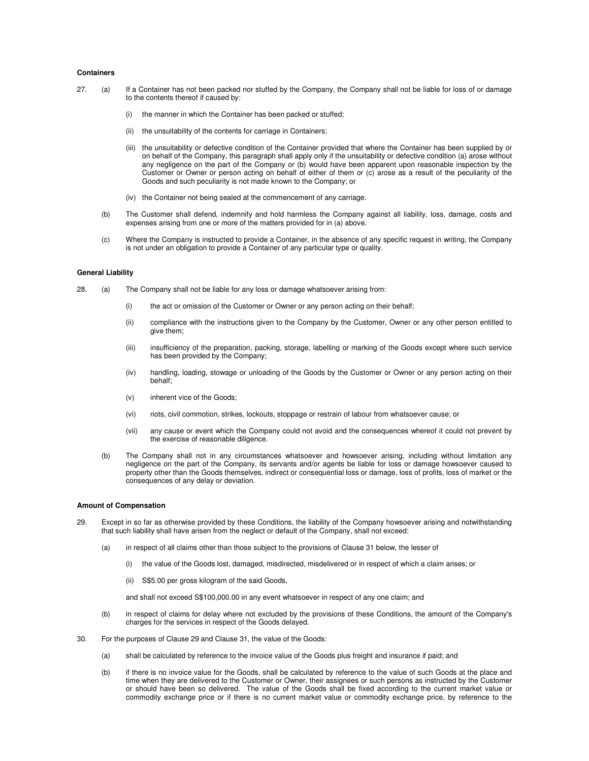#### **Containers**

- 27. (a) If a Container has not been packed nor stuffed by the Company, the Company shall not be liable for loss of or damage to the contents thereof if caused by:
	- (i) the manner in which the Container has been packed or stuffed;
	- (ii) the unsuitability of the contents for carriage in Containers;
	- (iii) the unsuitability or defective condition of the Container provided that where the Container has been supplied by or on behalf of the Company, this paragraph shall apply only if the unsuitability or defective condition (a) arose without any negligence on the part of the Company or (b) would have been apparent upon reasonable inspection by the Customer or Owner or person acting on behalf of either of them or (c) arose as a result of the peculiarity of the Goods and such peculiarity is not made known to the Company; or
	- (iv) the Container not being sealed at the commencement of any carriage.
	- (b) The Customer shall defend, indemnify and hold harmless the Company against all liability, loss, damage, costs and expenses arising from one or more of the matters provided for in (a) above.
	- (c) Where the Company is instructed to provide a Container, in the absence of any specific request in writing, the Company is not under an obligation to provide a Container of any particular type or quality.

### **General Liability**

- 28. (a) The Company shall not be liable for any loss or damage whatsoever arising from:
	- (i) the act or omission of the Customer or Owner or any person acting on their behalf;
	- (ii) compliance with the instructions given to the Company by the Customer, Owner or any other person entitled to give them;
	- (iii) insufficiency of the preparation, packing, storage, labelling or marking of the Goods except where such service has been provided by the Company;
	- (iv) handling, loading, stowage or unloading of the Goods by the Customer or Owner or any person acting on their behalf;
	- (v) inherent vice of the Goods;
	- (vi) riots, civil commotion, strikes, lockouts, stoppage or restrain of labour from whatsoever cause; or
	- (vii) any cause or event which the Company could not avoid and the consequences whereof it could not prevent by the exercise of reasonable diligence.
	- (b) The Company shall not in any circumstances whatsoever and howsoever arising, including without limitation any negligence on the part of the Company, its servants and/or agents be liable for loss or damage howsoever caused to property other than the Goods themselves, indirect or consequential loss or damage, loss of profits, loss of market or the consequences of any delay or deviation.

#### **Amount of Compensation**

- 29. Except in so far as otherwise provided by these Conditions, the liability of the Company howsoever arising and notwithstanding that such liability shall have arisen from the neglect or default of the Company, shall not exceed:
	- (a) in respect of all claims other than those subject to the provisions of Clause 31 below, the lesser of
		- (i) the value of the Goods lost, damaged, misdirected, misdelivered or in respect of which a claim arises; or
		- (ii) S\$5.00 per gross kilogram of the said Goods,

and shall not exceed S\$100,000.00 in any event whatsoever in respect of any one claim; and

- (b) in respect of claims for delay where not excluded by the provisions of these Conditions, the amount of the Company's charges for the services in respect of the Goods delayed.
- 30. For the purposes of Clause 29 and Clause 31, the value of the Goods:
	- (a) shall be calculated by reference to the invoice value of the Goods plus freight and insurance if paid; and
	- (b) if there is no invoice value for the Goods, shall be calculated by reference to the value of such Goods at the place and time when they are delivered to the Customer or Owner, their assignees or such persons as instructed by the Customer or should have been so delivered. The value of the Goods shall be fixed according to the current market value or commodity exchange price or if there is no current market value or commodity exchange price, by reference to the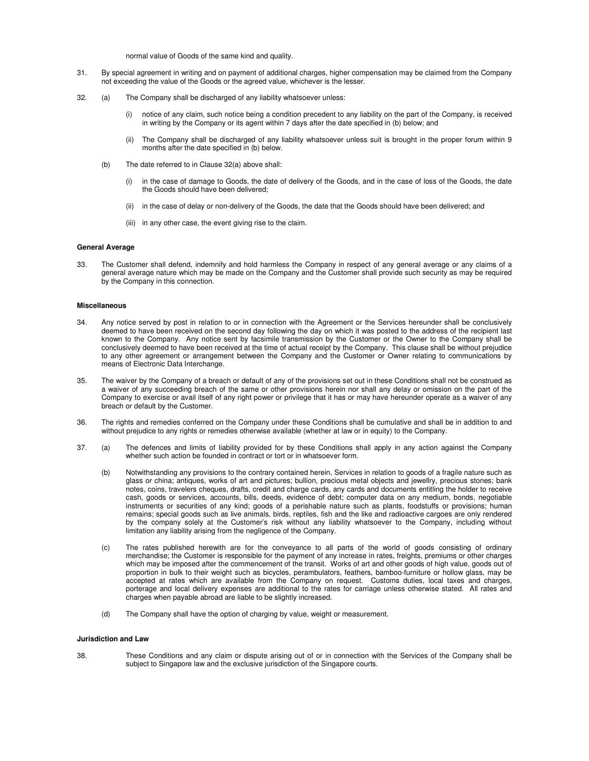normal value of Goods of the same kind and quality.

- 31. By special agreement in writing and on payment of additional charges, higher compensation may be claimed from the Company not exceeding the value of the Goods or the agreed value, whichever is the lesser.
- 32. (a) The Company shall be discharged of any liability whatsoever unless:
	- (i) notice of any claim, such notice being a condition precedent to any liability on the part of the Company, is received in writing by the Company or its agent within 7 days after the date specified in (b) below; and
	- (ii) The Company shall be discharged of any liability whatsoever unless suit is brought in the proper forum within 9 months after the date specified in (b) below.
	- (b) The date referred to in Clause 32(a) above shall:
		- (i) in the case of damage to Goods, the date of delivery of the Goods, and in the case of loss of the Goods, the date the Goods should have been delivered;
		- (ii) in the case of delay or non-delivery of the Goods, the date that the Goods should have been delivered; and
		- (iii) in any other case, the event giving rise to the claim.

## **General Average**

33. The Customer shall defend, indemnify and hold harmless the Company in respect of any general average or any claims of a general average nature which may be made on the Company and the Customer shall provide such security as may be required by the Company in this connection.

#### **Miscellaneous**

- 34. Any notice served by post in relation to or in connection with the Agreement or the Services hereunder shall be conclusively deemed to have been received on the second day following the day on which it was posted to the address of the recipient last known to the Company. Any notice sent by facsimile transmission by the Customer or the Owner to the Company shall be conclusively deemed to have been received at the time of actual receipt by the Company. This clause shall be without prejudice to any other agreement or arrangement between the Company and the Customer or Owner relating to communications by means of Electronic Data Interchange.
- 35. The waiver by the Company of a breach or default of any of the provisions set out in these Conditions shall not be construed as a waiver of any succeeding breach of the same or other provisions herein nor shall any delay or omission on the part of the Company to exercise or avail itself of any right power or privilege that it has or may have hereunder operate as a waiver of any breach or default by the Customer.
- 36. The rights and remedies conferred on the Company under these Conditions shall be cumulative and shall be in addition to and without prejudice to any rights or remedies otherwise available (whether at law or in equity) to the Company.
- 37. (a) The defences and limits of liability provided for by these Conditions shall apply in any action against the Company whether such action be founded in contract or tort or in whatsoever form.
	- (b) Notwithstanding any provisions to the contrary contained herein, Services in relation to goods of a fragile nature such as glass or china; antiques, works of art and pictures; bullion, precious metal objects and jewellry, precious stones; bank notes, coins, travelers cheques, drafts, credit and charge cards, any cards and documents entitling the holder to receive cash, goods or services, accounts, bills, deeds, evidence of debt; computer data on any medium, bonds, negotiable instruments or securities of any kind; goods of a perishable nature such as plants, foodstuffs or provisions; human remains; special goods such as live animals, birds, reptiles, fish and the like and radioactive cargoes are only rendered by the company solely at the Customer's risk without any liability whatsoever to the Company, including without limitation any liability arising from the negligence of the Company.
	- (c) The rates published herewith are for the conveyance to all parts of the world of goods consisting of ordinary merchandise; the Customer is responsible for the payment of any increase in rates, freights, premiums or other charges which may be imposed after the commencement of the transit. Works of art and other goods of high value, goods out of proportion in bulk to their weight such as bicycles, perambulators, feathers, bamboo-furniture or hollow glass, may be accepted at rates which are available from the Company on request. Customs duties, local taxes and charges, porterage and local delivery expenses are additional to the rates for carriage unless otherwise stated. All rates and charges when payable abroad are liable to be slightly increased.
	- (d) The Company shall have the option of charging by value, weight or measurement.

#### **Jurisdiction and Law**

38. These Conditions and any claim or dispute arising out of or in connection with the Services of the Company shall be subject to Singapore law and the exclusive jurisdiction of the Singapore courts.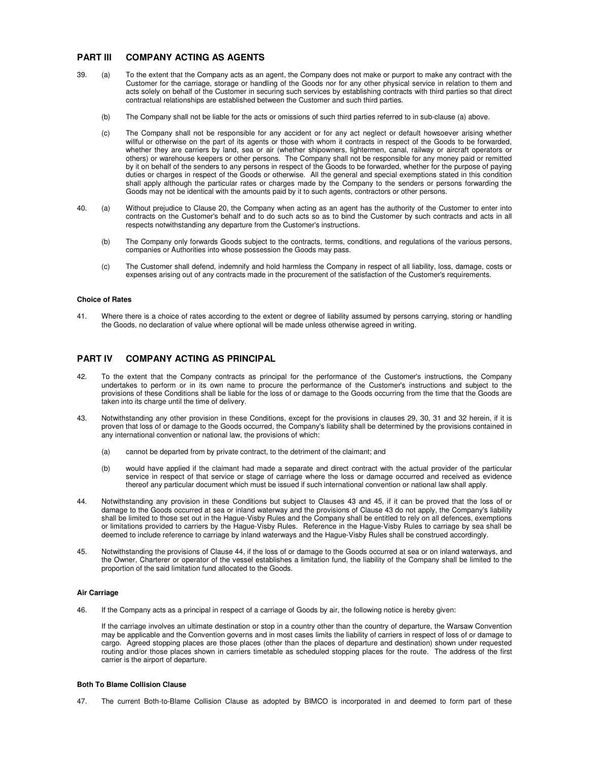# **PART III COMPANY ACTING AS AGENTS**

- 39. (a) To the extent that the Company acts as an agent, the Company does not make or purport to make any contract with the Customer for the carriage, storage or handling of the Goods nor for any other physical service in relation to them and acts solely on behalf of the Customer in securing such services by establishing contracts with third parties so that direct contractual relationships are established between the Customer and such third parties.
	- (b) The Company shall not be liable for the acts or omissions of such third parties referred to in sub-clause (a) above.
	- (c) The Company shall not be responsible for any accident or for any act neglect or default howsoever arising whether willful or otherwise on the part of its agents or those with whom it contracts in respect of the Goods to be forwarded, whether they are carriers by land, sea or air (whether shipowners, lightermen, canal, railway or aircraft operators or others) or warehouse keepers or other persons. The Company shall not be responsible for any money paid or remitted by it on behalf of the senders to any persons in respect of the Goods to be forwarded, whether for the purpose of paying duties or charges in respect of the Goods or otherwise. All the general and special exemptions stated in this condition shall apply although the particular rates or charges made by the Company to the senders or persons forwarding the Goods may not be identical with the amounts paid by it to such agents, contractors or other persons.
- 40. (a) Without prejudice to Clause 20, the Company when acting as an agent has the authority of the Customer to enter into contracts on the Customer's behalf and to do such acts so as to bind the Customer by such contracts and acts in all respects notwithstanding any departure from the Customer's instructions.
	- (b) The Company only forwards Goods subject to the contracts, terms, conditions, and regulations of the various persons, companies or Authorities into whose possession the Goods may pass.
	- (c) The Customer shall defend, indemnify and hold harmless the Company in respect of all liability, loss, damage, costs or expenses arising out of any contracts made in the procurement of the satisfaction of the Customer's requirements.

#### **Choice of Rates**

41. Where there is a choice of rates according to the extent or degree of liability assumed by persons carrying, storing or handling the Goods, no declaration of value where optional will be made unless otherwise agreed in writing.

# **PART IV COMPANY ACTING AS PRINCIPAL**

- 42. To the extent that the Company contracts as principal for the performance of the Customer's instructions, the Company undertakes to perform or in its own name to procure the performance of the Customer's instructions and subject to the provisions of these Conditions shall be liable for the loss of or damage to the Goods occurring from the time that the Goods are taken into its charge until the time of delivery.
- 43. Notwithstanding any other provision in these Conditions, except for the provisions in clauses 29, 30, 31 and 32 herein, if it is proven that loss of or damage to the Goods occurred, the Company's liability shall be determined by the provisions contained in any international convention or national law, the provisions of which:
	- (a) cannot be departed from by private contract, to the detriment of the claimant; and
	- (b) would have applied if the claimant had made a separate and direct contract with the actual provider of the particular service in respect of that service or stage of carriage where the loss or damage occurred and received as evidence thereof any particular document which must be issued if such international convention or national law shall apply.
- 44. Notwithstanding any provision in these Conditions but subject to Clauses 43 and 45, if it can be proved that the loss of or damage to the Goods occurred at sea or inland waterway and the provisions of Clause 43 do not apply, the Company's liability shall be limited to those set out in the Hague-Visby Rules and the Company shall be entitled to rely on all defences, exemptions or limitations provided to carriers by the Hague-Visby Rules. Reference in the Hague-Visby Rules to carriage by sea shall be deemed to include reference to carriage by inland waterways and the Hague-Visby Rules shall be construed accordingly.
- 45. Notwithstanding the provisions of Clause 44, if the loss of or damage to the Goods occurred at sea or on inland waterways, and the Owner, Charterer or operator of the vessel establishes a limitation fund, the liability of the Company shall be limited to the proportion of the said limitation fund allocated to the Goods.

### **Air Carriage**

46. If the Company acts as a principal in respect of a carriage of Goods by air, the following notice is hereby given:

 If the carriage involves an ultimate destination or stop in a country other than the country of departure, the Warsaw Convention may be applicable and the Convention governs and in most cases limits the liability of carriers in respect of loss of or damage to cargo. Agreed stopping places are those places (other than the places of departure and destination) shown under requested routing and/or those places shown in carriers timetable as scheduled stopping places for the route. The address of the first carrier is the airport of departure.

#### **Both To Blame Collision Clause**

47. The current Both-to-Blame Collision Clause as adopted by BIMCO is incorporated in and deemed to form part of these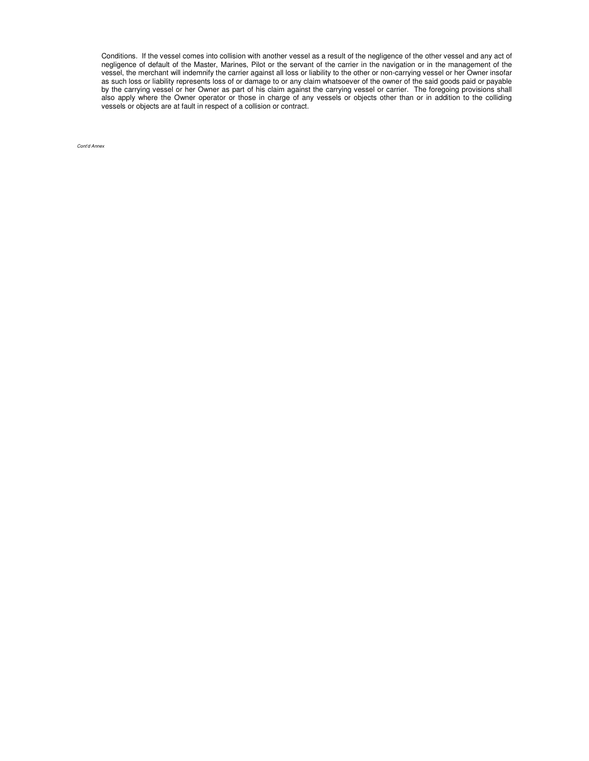Conditions. If the vessel comes into collision with another vessel as a result of the negligence of the other vessel and any act of negligence of default of the Master, Marines, Pilot or the servant of the carrier in the navigation or in the management of the vessel, the merchant will indemnify the carrier against all loss or liability to the other or non-carrying vessel or her Owner insofar as such loss or liability represents loss of or damage to or any claim whatsoever of the owner of the said goods paid or payable by the carrying vessel or her Owner as part of his claim against the carrying vessel or carrier. The foregoing provisions shall also apply where the Owner operator or those in charge of any vessels or objects other than or in addition to the colliding vessels or objects are at fault in respect of a collision or contract.

Cont'd Annex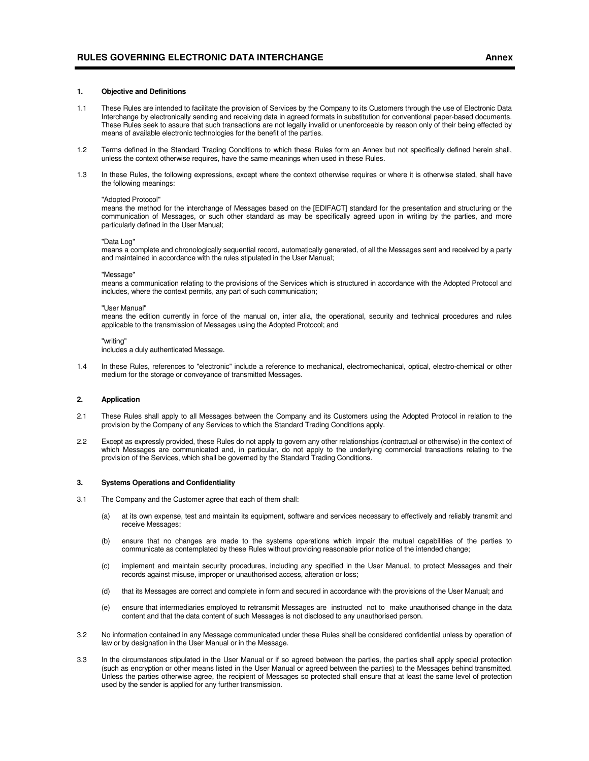#### **1. Objective and Definitions**

- 1.1 These Rules are intended to facilitate the provision of Services by the Company to its Customers through the use of Electronic Data Interchange by electronically sending and receiving data in agreed formats in substitution for conventional paper-based documents. These Rules seek to assure that such transactions are not legally invalid or unenforceable by reason only of their being effected by means of available electronic technologies for the benefit of the parties.
- 1.2 Terms defined in the Standard Trading Conditions to which these Rules form an Annex but not specifically defined herein shall, unless the context otherwise requires, have the same meanings when used in these Rules.
- 1.3 In these Rules, the following expressions, except where the context otherwise requires or where it is otherwise stated, shall have the following meanings:

#### "Adopted Protocol"

 means the method for the interchange of Messages based on the [EDIFACT] standard for the presentation and structuring or the communication of Messages, or such other standard as may be specifically agreed upon in writing by the parties, and more particularly defined in the User Manual;

#### "Data Log"

 means a complete and chronologically sequential record, automatically generated, of all the Messages sent and received by a party and maintained in accordance with the rules stipulated in the User Manual;

#### "Message"

 means a communication relating to the provisions of the Services which is structured in accordance with the Adopted Protocol and includes, where the context permits, any part of such communication;

#### "User Manual"

 means the edition currently in force of the manual on, inter alia, the operational, security and technical procedures and rules applicable to the transmission of Messages using the Adopted Protocol; and

#### "writing"

includes a duly authenticated Message.

1.4 In these Rules, references to "electronic" include a reference to mechanical, electromechanical, optical, electro-chemical or other medium for the storage or conveyance of transmitted Messages.

#### **2. Application**

- 2.1 These Rules shall apply to all Messages between the Company and its Customers using the Adopted Protocol in relation to the provision by the Company of any Services to which the Standard Trading Conditions apply.
- 2.2 Except as expressly provided, these Rules do not apply to govern any other relationships (contractual or otherwise) in the context of which Messages are communicated and, in particular, do not apply to the underlying commercial transactions relating to the provision of the Services, which shall be governed by the Standard Trading Conditions.

#### **3. Systems Operations and Confidentiality**

- 3.1 The Company and the Customer agree that each of them shall:
	- (a) at its own expense, test and maintain its equipment, software and services necessary to effectively and reliably transmit and receive Messages;
	- (b) ensure that no changes are made to the systems operations which impair the mutual capabilities of the parties to communicate as contemplated by these Rules without providing reasonable prior notice of the intended change;
	- (c) implement and maintain security procedures, including any specified in the User Manual, to protect Messages and their records against misuse, improper or unauthorised access, alteration or loss;
	- (d) that its Messages are correct and complete in form and secured in accordance with the provisions of the User Manual; and
	- (e) ensure that intermediaries employed to retransmit Messages are instructed not to make unauthorised change in the data content and that the data content of such Messages is not disclosed to any unauthorised person.
- 3.2 No information contained in any Message communicated under these Rules shall be considered confidential unless by operation of law or by designation in the User Manual or in the Message.
- 3.3 In the circumstances stipulated in the User Manual or if so agreed between the parties, the parties shall apply special protection (such as encryption or other means listed in the User Manual or agreed between the parties) to the Messages behind transmitted. Unless the parties otherwise agree, the recipient of Messages so protected shall ensure that at least the same level of protection used by the sender is applied for any further transmission.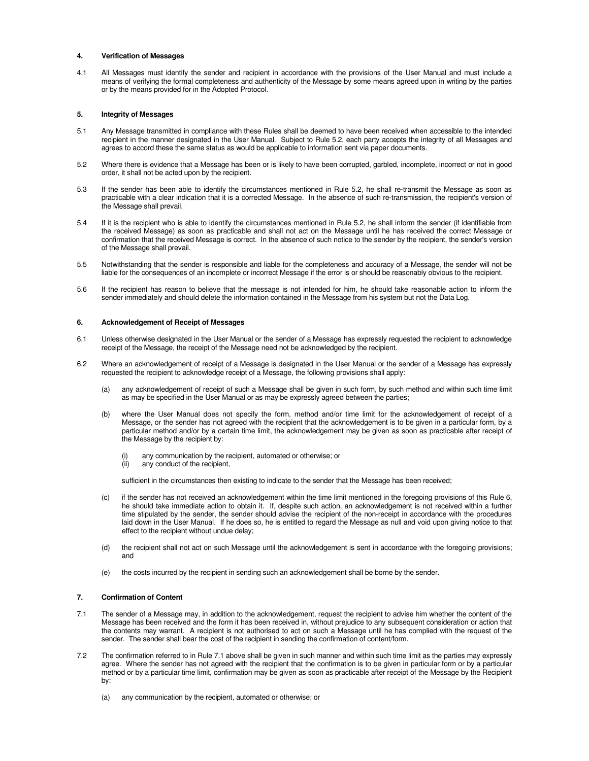#### **4. Verification of Messages**

4.1 All Messages must identify the sender and recipient in accordance with the provisions of the User Manual and must include a means of verifying the formal completeness and authenticity of the Message by some means agreed upon in writing by the parties or by the means provided for in the Adopted Protocol.

### **5. Integrity of Messages**

- 5.1 Any Message transmitted in compliance with these Rules shall be deemed to have been received when accessible to the intended recipient in the manner designated in the User Manual. Subject to Rule 5.2, each party accepts the integrity of all Messages and agrees to accord these the same status as would be applicable to information sent via paper documents.
- 5.2 Where there is evidence that a Message has been or is likely to have been corrupted, garbled, incomplete, incorrect or not in good order, it shall not be acted upon by the recipient.
- 5.3 If the sender has been able to identify the circumstances mentioned in Rule 5.2, he shall re-transmit the Message as soon as practicable with a clear indication that it is a corrected Message. In the absence of such re-transmission, the recipient's version of the Message shall prevail.
- 5.4 If it is the recipient who is able to identify the circumstances mentioned in Rule 5.2, he shall inform the sender (if identifiable from the received Message) as soon as practicable and shall not act on the Message until he has received the correct Message or confirmation that the received Message is correct. In the absence of such notice to the sender by the recipient, the sender's version of the Message shall prevail.
- 5.5 Notwithstanding that the sender is responsible and liable for the completeness and accuracy of a Message, the sender will not be liable for the consequences of an incomplete or incorrect Message if the error is or should be reasonably obvious to the recipient.
- 5.6 If the recipient has reason to believe that the message is not intended for him, he should take reasonable action to inform the sender immediately and should delete the information contained in the Message from his system but not the Data Log.

#### **6. Acknowledgement of Receipt of Messages**

- 6.1 Unless otherwise designated in the User Manual or the sender of a Message has expressly requested the recipient to acknowledge receipt of the Message, the receipt of the Message need not be acknowledged by the recipient.
- 6.2 Where an acknowledgement of receipt of a Message is designated in the User Manual or the sender of a Message has expressly requested the recipient to acknowledge receipt of a Message, the following provisions shall apply:
	- (a) any acknowledgement of receipt of such a Message shall be given in such form, by such method and within such time limit as may be specified in the User Manual or as may be expressly agreed between the parties;
	- (b) where the User Manual does not specify the form, method and/or time limit for the acknowledgement of receipt of a Message, or the sender has not agreed with the recipient that the acknowledgement is to be given in a particular form, by a particular method and/or by a certain time limit, the acknowledgement may be given as soon as practicable after receipt of the Message by the recipient by:
		- any communication by the recipient, automated or otherwise; or
		- (ii) any conduct of the recipient,

sufficient in the circumstances then existing to indicate to the sender that the Message has been received;

- (c) if the sender has not received an acknowledgement within the time limit mentioned in the foregoing provisions of this Rule 6, he should take immediate action to obtain it. If, despite such action, an acknowledgement is not received within a further time stipulated by the sender, the sender should advise the recipient of the non-receipt in accordance with the procedures laid down in the User Manual. If he does so, he is entitled to regard the Message as null and void upon giving notice to that effect to the recipient without undue delay;
- (d) the recipient shall not act on such Message until the acknowledgement is sent in accordance with the foregoing provisions; and
- (e) the costs incurred by the recipient in sending such an acknowledgement shall be borne by the sender.

## **7. Confirmation of Content**

- 7.1 The sender of a Message may, in addition to the acknowledgement, request the recipient to advise him whether the content of the Message has been received and the form it has been received in, without prejudice to any subsequent consideration or action that the contents may warrant. A recipient is not authorised to act on such a Message until he has complied with the request of the sender. The sender shall bear the cost of the recipient in sending the confirmation of content/form.
- 7.2 The confirmation referred to in Rule 7.1 above shall be given in such manner and within such time limit as the parties may expressly agree. Where the sender has not agreed with the recipient that the confirmation is to be given in particular form or by a particular method or by a particular time limit, confirmation may be given as soon as practicable after receipt of the Message by the Recipient by:
	- (a) any communication by the recipient, automated or otherwise; or